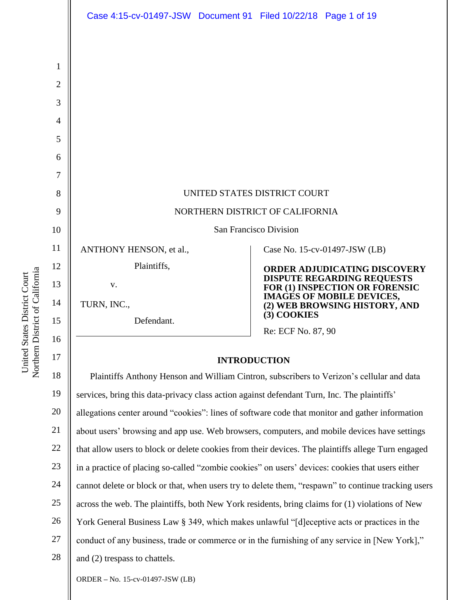|                | Case 4:15-cv-01497-JSW Document 91 Filed 10/22/18 Page 1 of 19                                  |  |                                                                                                                                                                                         |                               |
|----------------|-------------------------------------------------------------------------------------------------|--|-----------------------------------------------------------------------------------------------------------------------------------------------------------------------------------------|-------------------------------|
|                |                                                                                                 |  |                                                                                                                                                                                         |                               |
| $\mathbf{1}$   |                                                                                                 |  |                                                                                                                                                                                         |                               |
| $\overline{2}$ |                                                                                                 |  |                                                                                                                                                                                         |                               |
| 3              |                                                                                                 |  |                                                                                                                                                                                         |                               |
| $\overline{4}$ |                                                                                                 |  |                                                                                                                                                                                         |                               |
| 5              |                                                                                                 |  |                                                                                                                                                                                         |                               |
| 6              |                                                                                                 |  |                                                                                                                                                                                         |                               |
| 7              |                                                                                                 |  |                                                                                                                                                                                         |                               |
| 8              | UNITED STATES DISTRICT COURT                                                                    |  |                                                                                                                                                                                         |                               |
| 9              | NORTHERN DISTRICT OF CALIFORNIA                                                                 |  |                                                                                                                                                                                         |                               |
| 10             | San Francisco Division                                                                          |  |                                                                                                                                                                                         |                               |
| 11             | ANTHONY HENSON, et al.,                                                                         |  |                                                                                                                                                                                         | Case No. 15-cv-01497-JSW (LB) |
| 12             | Plaintiffs,                                                                                     |  | <b>ORDER ADJUDICATING DISCOVERY</b><br>DISPUTE REGARDING REQUESTS<br>FOR (1) INSPECTION OR FORENSIC<br><b>IMAGES OF MOBILE DEVICES,</b><br>(2) WEB BROWSING HISTORY, AND<br>(3) COOKIES |                               |
| 13             | V.                                                                                              |  |                                                                                                                                                                                         |                               |
| 14             | TURN, INC.,<br>Defendant.                                                                       |  |                                                                                                                                                                                         |                               |
| 15             |                                                                                                 |  | Re: ECF No. 87, 90                                                                                                                                                                      |                               |
| 16             |                                                                                                 |  |                                                                                                                                                                                         |                               |
| 17             | <b>INTRODUCTION</b>                                                                             |  |                                                                                                                                                                                         |                               |
| 18             | Plaintiffs Anthony Henson and William Cintron, subscribers to Verizon's cellular and data       |  |                                                                                                                                                                                         |                               |
| 19             | services, bring this data-privacy class action against defendant Turn, Inc. The plaintiffs'     |  |                                                                                                                                                                                         |                               |
| 20             | allegations center around "cookies": lines of software code that monitor and gather information |  |                                                                                                                                                                                         |                               |

21 about users' browsing and app use. Web browsers, computers, and mobile devices have settings

22 23 24 25 26 27 28 that allow users to block or delete cookies from their devices. The plaintiffs allege Turn engaged in a practice of placing so-called "zombie cookies" on users' devices: cookies that users either cannot delete or block or that, when users try to delete them, "respawn" to continue tracking users across the web. The plaintiffs, both New York residents, bring claims for (1) violations of New York General Business Law § 349, which makes unlawful "[d]eceptive acts or practices in the conduct of any business, trade or commerce or in the furnishing of any service in [New York]," and (2) trespass to chattels.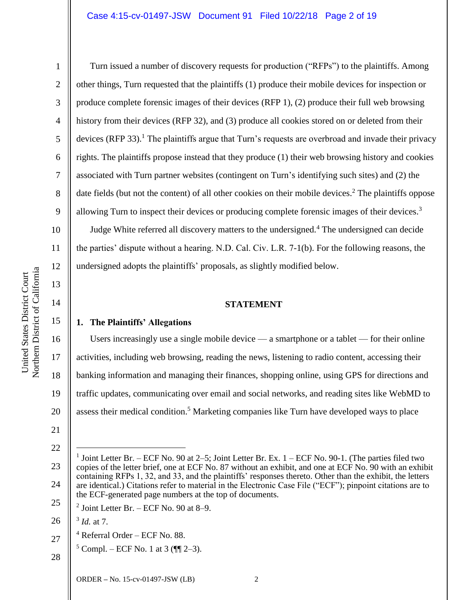#### Case 4:15-cv-01497-JSW Document 91 Filed 10/22/18 Page 2 of 19

Turn issued a number of discovery requests for production ("RFPs") to the plaintiffs. Among other things, Turn requested that the plaintiffs (1) produce their mobile devices for inspection or produce complete forensic images of their devices (RFP 1), (2) produce their full web browsing history from their devices (RFP 32), and (3) produce all cookies stored on or deleted from their devices (RFP 33).<sup>1</sup> The plaintiffs argue that Turn's requests are overbroad and invade their privacy rights. The plaintiffs propose instead that they produce (1) their web browsing history and cookies associated with Turn partner websites (contingent on Turn's identifying such sites) and (2) the date fields (but not the content) of all other cookies on their mobile devices.<sup>2</sup> The plaintiffs oppose allowing Turn to inspect their devices or producing complete forensic images of their devices.<sup>3</sup>

Judge White referred all discovery matters to the undersigned.<sup>4</sup> The undersigned can decide the parties' dispute without a hearing. N.D. Cal. Civ. L.R. 7-1(b). For the following reasons, the undersigned adopts the plaintiffs' proposals, as slightly modified below.

#### **STATEMENT**

## **1. The Plaintiffs' Allegations**

Users increasingly use a single mobile device — a smartphone or a tablet — for their online activities, including web browsing, reading the news, listening to radio content, accessing their banking information and managing their finances, shopping online, using GPS for directions and traffic updates, communicating over email and social networks, and reading sites like WebMD to assess their medical condition.<sup>5</sup> Marketing companies like Turn have developed ways to place

22

1

2

3

4

5

6

7

8

9

10

11

12

13

14

15

16

17

18

19

20

 $\overline{a}$ 

- 27  $4$  Referral Order – ECF No. 88.
	- $5$  Compl. ECF No. 1 at 3 ( $\P$  $[2-3)$ ).
- 28

<sup>21</sup>

<sup>23</sup> 24 25 1 Joint Letter Br. – ECF No. 90 at 2–5; Joint Letter Br. Ex. 1 – ECF No. 90-1. (The parties filed two copies of the letter brief, one at ECF No. 87 without an exhibit, and one at ECF No. 90 with an exhibit containing RFPs 1, 32, and 33, and the plaintiffs' responses thereto. Other than the exhibit, the letters are identical.) Citations refer to material in the Electronic Case File ("ECF"); pinpoint citations are to the ECF-generated page numbers at the top of documents.

 $2$  Joint Letter Br. – ECF No. 90 at 8–9.

<sup>26</sup> 3 *Id.* at 7.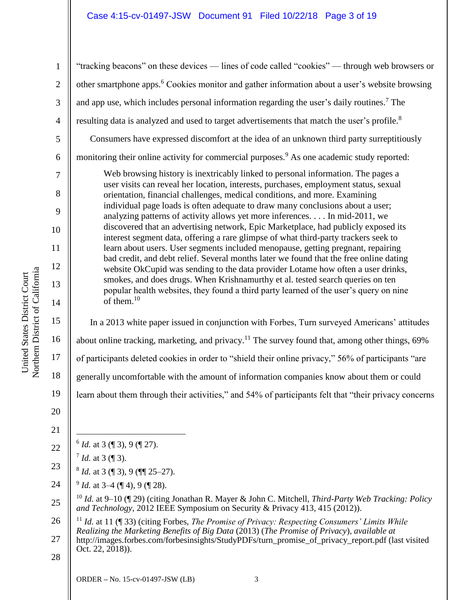# Case 4:15-cv-01497-JSW Document 91 Filed 10/22/18 Page 3 of 19

"tracking beacons" on these devices — lines of code called "cookies" — through web browsers or other smartphone apps.<sup>6</sup> Cookies monitor and gather information about a user's website browsing and app use, which includes personal information regarding the user's daily routines.<sup>7</sup> The resulting data is analyzed and used to target advertisements that match the user's profile.<sup>8</sup> Consumers have expressed discomfort at the idea of an unknown third party surreptitiously monitoring their online activity for commercial purposes.<sup>9</sup> As one academic study reported: Web browsing history is inextricably linked to personal information. The pages a user visits can reveal her location, interests, purchases, employment status, sexual orientation, financial challenges, medical conditions, and more. Examining individual page loads is often adequate to draw many conclusions about a user; analyzing patterns of activity allows yet more inferences. . . . In mid-2011, we discovered that an advertising network, Epic Marketplace, had publicly exposed its interest segment data, offering a rare glimpse of what third-party trackers seek to learn about users. User segments included menopause, getting pregnant, repairing

bad credit, and debt relief. Several months later we found that the free online dating website OkCupid was sending to the data provider Lotame how often a user drinks, smokes, and does drugs. When Krishnamurthy et al. tested search queries on ten popular health websites, they found a third party learned of the user's query on nine of them. $10$ 

In a 2013 white paper issued in conjunction with Forbes, Turn surveyed Americans' attitudes about online tracking, marketing, and privacy.<sup>11</sup> The survey found that, among other things,  $69\%$ of participants deleted cookies in order to "shield their online privacy," 56% of participants "are generally uncomfortable with the amount of information companies know about them or could learn about them through their activities," and 54% of participants felt that "their privacy concerns

20

1

2

3

4

5

6

7

8

9

10

11

12

13

14

15

16

17

18

19

21

- 22  $\overline{a}$  $^6$  *Id.* at 3 (¶ 3), 9 (¶ 27).
	- $^{7}$  *Id.* at 3 (¶ 3).
- 23 8 *Id.* at 3 (¶ 3), 9 (¶¶ 25–27).
- 24  $9$  *Id.* at 3–4 (¶ 4), 9 (¶ 28).

25 <sup>10</sup> *Id.* at 9–10 (¶ 29) (citing Jonathan R. Mayer & John C. Mitchell, *Third-Party Web Tracking: Policy and Technology*, 2012 IEEE Symposium on Security & Privacy 413, 415 (2012)).

26 27 <sup>11</sup> *Id.* at 11 (¶ 33) (citing Forbes, *The Promise of Privacy: Respecting Consumers' Limits While Realizing the Marketing Benefits of Big Data* (2013) (*The Promise of Privacy*), *available at*

http://images.forbes.com/forbesinsights/StudyPDFs/turn\_promise\_of\_privacy\_report.pdf (last visited Oct. 22, 2018)).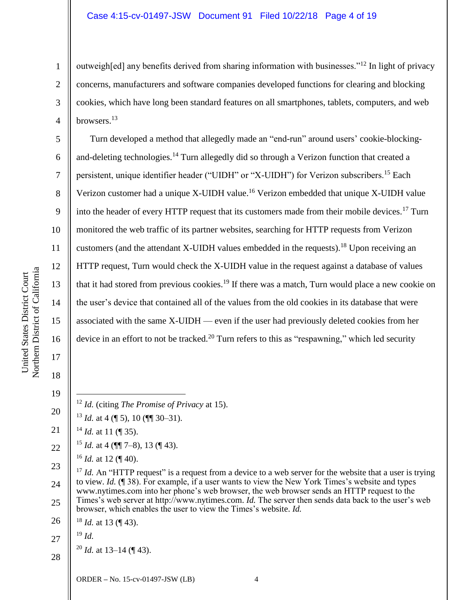outweigh[ed] any benefits derived from sharing information with businesses."<sup>12</sup> In light of privacy concerns, manufacturers and software companies developed functions for clearing and blocking cookies, which have long been standard features on all smartphones, tablets, computers, and web browsers.<sup>13</sup>

Turn developed a method that allegedly made an "end-run" around users' cookie-blockingand-deleting technologies.<sup>14</sup> Turn allegedly did so through a Verizon function that created a persistent, unique identifier header ("UIDH" or "X-UIDH") for Verizon subscribers.<sup>15</sup> Each Verizon customer had a unique X-UIDH value.<sup>16</sup> Verizon embedded that unique X-UIDH value into the header of every HTTP request that its customers made from their mobile devices.<sup>17</sup> Turn monitored the web traffic of its partner websites, searching for HTTP requests from Verizon customers (and the attendant X-UIDH values embedded in the requests).<sup>18</sup> Upon receiving an HTTP request, Turn would check the X-UIDH value in the request against a database of values that it had stored from previous cookies.<sup>19</sup> If there was a match, Turn would place a new cookie on the user's device that contained all of the values from the old cookies in its database that were associated with the same X-UIDH — even if the user had previously deleted cookies from her device in an effort to not be tracked.<sup>20</sup> Turn refers to this as "respawning," which led security

- <sup>12</sup> *Id.* (citing *The Promise of Privacy* at 15).
- $13$  *Id.* at 4 (¶ 5), 10 (¶¶ 30–31).
- 21 <sup>14</sup> *Id.* at 11 (¶ 35).
- 22 <sup>15</sup> *Id.* at 4 (¶¶ 7–8), 13 (¶ 43).
	- <sup>16</sup> *Id.* at 12 (¶ 40).

23 24 25 <sup>17</sup> *Id.* An "HTTP request" is a request from a device to a web server for the website that a user is trying to view. *Id.* (¶ 38). For example, if a user wants to view the New York Times's website and types www.nytimes.com into her phone's web browser, the web browser sends an HTTP request to the Times's web server at http://www.nytimes.com. *Id.* The server then sends data back to the user's web browser, which enables the user to view the Times's website. *Id.*

26 <sup>18</sup> *Id.* at 13 (¶ 43).

<sup>19</sup> *Id.*

- 27
- <sup>20</sup> *Id.* at 13–14 (¶ 43).

28

1

2

3

4

5

6

7

8

9

10

11

12

13

14

15

16

17

18

19

 $\overline{a}$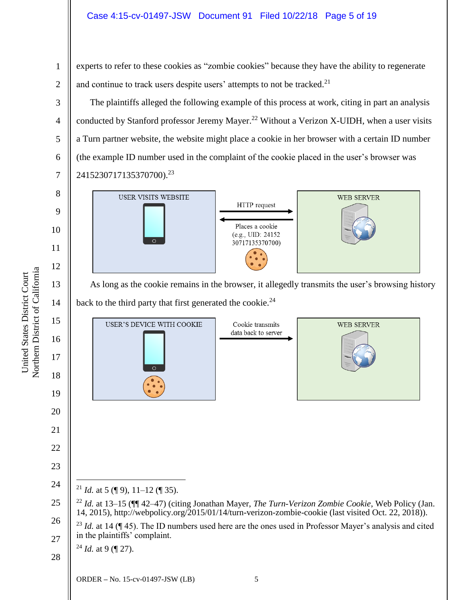## Case 4:15-cv-01497-JSW Document 91 Filed 10/22/18 Page 5 of 19

experts to refer to these cookies as "zombie cookies" because they have the ability to regenerate and continue to track users despite users' attempts to not be tracked. $2<sup>1</sup>$ 

The plaintiffs alleged the following example of this process at work, citing in part an analysis conducted by Stanford professor Jeremy Mayer.<sup>22</sup> Without a Verizon X-UIDH, when a user visits a Turn partner website, the website might place a cookie in her browser with a certain ID number (the example ID number used in the complaint of the cookie placed in the user's browser was 2415230717135370700). 23



As long as the cookie remains in the browser, it allegedly transmits the user's browsing history back to the third party that first generated the cookie.<sup>24</sup>

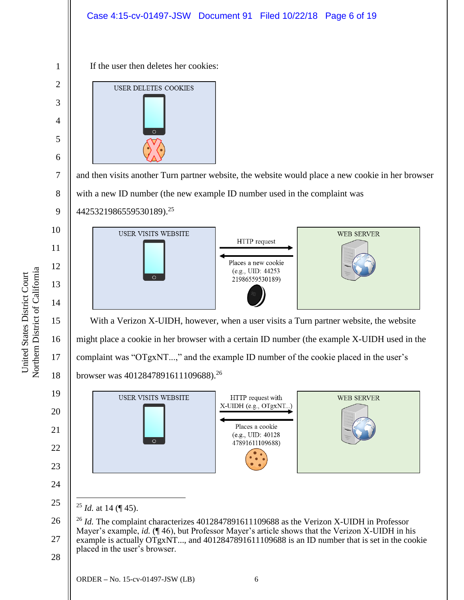

Northern District of California Northern District of California United States District Court United States District Court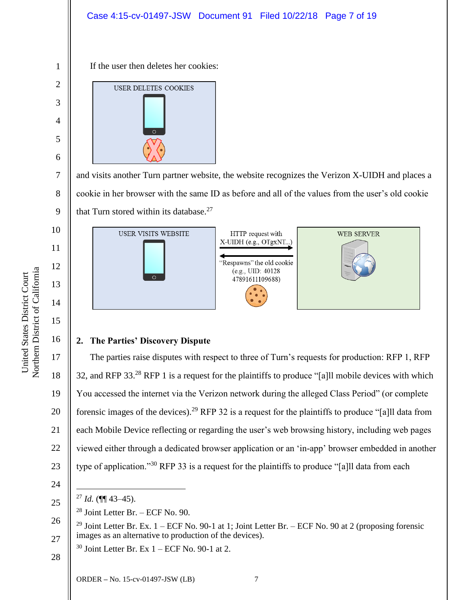

7 8 9 and visits another Turn partner website, the website recognizes the Verizon X-UIDH and places a cookie in her browser with the same ID as before and all of the values from the user's old cookie that Turn stored within its database. $27$ 



# **2. The Parties' Discovery Dispute**

The parties raise disputes with respect to three of Turn's requests for production: RFP 1, RFP 32, and RFP 33.<sup>28</sup> RFP 1 is a request for the plaintiffs to produce "[a]ll mobile devices with which You accessed the internet via the Verizon network during the alleged Class Period" (or complete forensic images of the devices).<sup>29</sup> RFP 32 is a request for the plaintiffs to produce "[a]ll data from each Mobile Device reflecting or regarding the user's web browsing history, including web pages viewed either through a dedicated browser application or an 'in-app' browser embedded in another type of application."<sup>30</sup> RFP 33 is a request for the plaintiffs to produce "[a]ll data from each

24

 $\overline{a}$ 

25

- $28$  Joint Letter Br. ECF No. 90.
- 26 27 <sup>29</sup> Joint Letter Br. Ex.  $1 - ECF$  No. 90-1 at 1; Joint Letter Br. – ECF No. 90 at 2 (proposing forensic images as an alternative to production of the devices).
	- $30$  Joint Letter Br. Ex  $1 ECF$  No. 90-1 at 2.
- 28

16

17

18

19

20

21

22

23

5

 $^{27}$  *Id.* (¶¶ 43–45).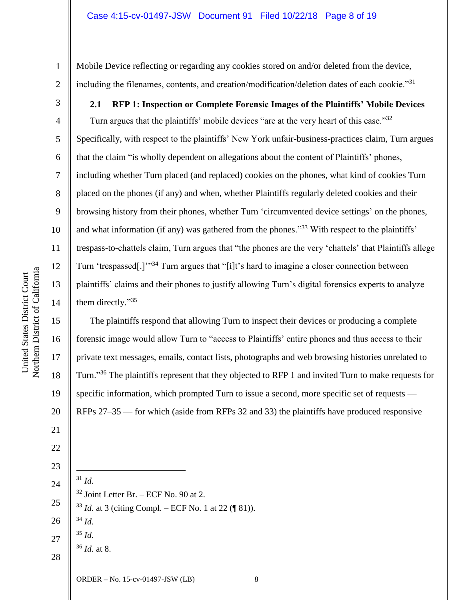Mobile Device reflecting or regarding any cookies stored on and/or deleted from the device, including the filenames, contents, and creation/modification/deletion dates of each cookie."<sup>31</sup>

**2.1 RFP 1: Inspection or Complete Forensic Images of the Plaintiffs' Mobile Devices**

Turn argues that the plaintiffs' mobile devices "are at the very heart of this case."32 Specifically, with respect to the plaintiffs' New York unfair-business-practices claim, Turn argues that the claim "is wholly dependent on allegations about the content of Plaintiffs' phones, including whether Turn placed (and replaced) cookies on the phones, what kind of cookies Turn placed on the phones (if any) and when, whether Plaintiffs regularly deleted cookies and their browsing history from their phones, whether Turn 'circumvented device settings' on the phones, and what information (if any) was gathered from the phones."<sup>33</sup> With respect to the plaintiffs' trespass-to-chattels claim, Turn argues that "the phones are the very 'chattels' that Plaintiffs allege Turn 'trespassed[.]'"<sup>34</sup> Turn argues that "[i]t's hard to imagine a closer connection between plaintiffs' claims and their phones to justify allowing Turn's digital forensics experts to analyze them directly."<sup>35</sup>

The plaintiffs respond that allowing Turn to inspect their devices or producing a complete forensic image would allow Turn to "access to Plaintiffs' entire phones and thus access to their private text messages, emails, contact lists, photographs and web browsing histories unrelated to Turn."<sup>36</sup> The plaintiffs represent that they objected to RFP 1 and invited Turn to make requests for specific information, which prompted Turn to issue a second, more specific set of requests — RFPs 27–35 — for which (aside from RFPs 32 and 33) the plaintiffs have produced responsive

24 25 26 27 28  $\overline{a}$ <sup>31</sup> *Id.*  $32$  Joint Letter Br. – ECF No. 90 at 2. <sup>33</sup> *Id.* at 3 (citing Compl. – ECF No. 1 at 22 (¶ 81)). <sup>34</sup> *Id.* <sup>35</sup> *Id.* <sup>36</sup> *Id.* at 8.

Northern District of California Northern District of California United States District Court United States District Court

4

5

6

7

8

9

10

11

12

13

14

15

16

17

18

19

20

21

22

23

1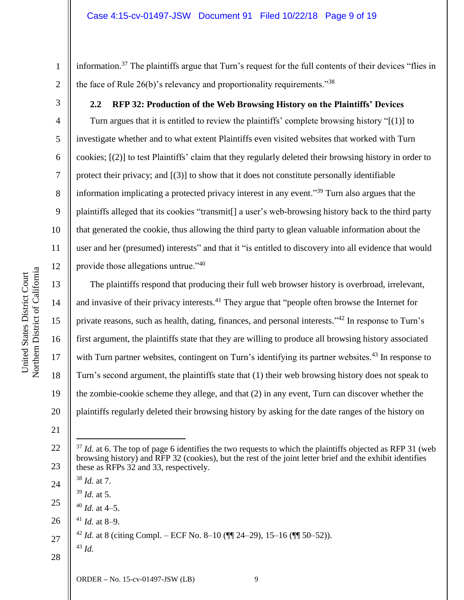information.<sup>37</sup> The plaintiffs argue that Turn's request for the full contents of their devices "flies in the face of Rule 26(b)'s relevancy and proportionality requirements."<sup>38</sup>

**2.2 RFP 32: Production of the Web Browsing History on the Plaintiffs' Devices**

Turn argues that it is entitled to review the plaintiffs' complete browsing history "[(1)] to investigate whether and to what extent Plaintiffs even visited websites that worked with Turn cookies; [(2)] to test Plaintiffs' claim that they regularly deleted their browsing history in order to protect their privacy; and [(3)] to show that it does not constitute personally identifiable information implicating a protected privacy interest in any event."<sup>39</sup> Turn also argues that the plaintiffs alleged that its cookies "transmit[] a user's web-browsing history back to the third party that generated the cookie, thus allowing the third party to glean valuable information about the user and her (presumed) interests" and that it "is entitled to discovery into all evidence that would provide those allegations untrue."<sup>40</sup>

The plaintiffs respond that producing their full web browser history is overbroad, irrelevant, and invasive of their privacy interests.<sup>41</sup> They argue that "people often browse the Internet for private reasons, such as health, dating, finances, and personal interests."<sup>42</sup> In response to Turn's first argument, the plaintiffs state that they are willing to produce all browsing history associated with Turn partner websites, contingent on Turn's identifying its partner websites.<sup>43</sup> In response to Turn's second argument, the plaintiffs state that (1) their web browsing history does not speak to the zombie-cookie scheme they allege, and that (2) in any event, Turn can discover whether the plaintiffs regularly deleted their browsing history by asking for the date ranges of the history on

24

 $\overline{a}$ 

<sup>43</sup> *Id.*

27 <sup>42</sup> *Id.* at 8 (citing Compl. – ECF No. 8–10 ( $\P$  $I$  24–29), 15–16 ( $\P$  $I$  50–52)).

28

1

2

3

4

5

6

7

8

9

10

11

12

13

14

15

16

17

18

<sup>20</sup> 21

<sup>22</sup> 23  $37$  *Id.* at 6. The top of page 6 identifies the two requests to which the plaintiffs objected as RFP 31 (web) browsing history) and RFP 32 (cookies), but the rest of the joint letter brief and the exhibit identifies these as RFPs 32 and 33, respectively.

<sup>38</sup> *Id.* at 7.

<sup>39</sup> *Id.* at 5.

<sup>25</sup>  $40$  *Id.* at 4–5.

<sup>26</sup>  $41$  *Id.* at 8–9.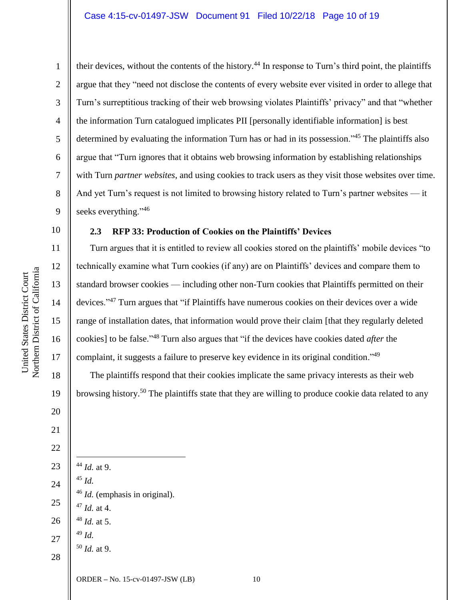their devices, without the contents of the history.<sup>44</sup> In response to Turn's third point, the plaintiffs argue that they "need not disclose the contents of every website ever visited in order to allege that Turn's surreptitious tracking of their web browsing violates Plaintiffs' privacy" and that "whether the information Turn catalogued implicates PII [personally identifiable information] is best determined by evaluating the information Turn has or had in its possession."<sup>45</sup> The plaintiffs also argue that "Turn ignores that it obtains web browsing information by establishing relationships with Turn *partner websites*, and using cookies to track users as they visit those websites over time. And yet Turn's request is not limited to browsing history related to Turn's partner websites — it seeks everything."<sup>46</sup>

## **2.3 RFP 33: Production of Cookies on the Plaintiffs' Devices**

Turn argues that it is entitled to review all cookies stored on the plaintiffs' mobile devices "to technically examine what Turn cookies (if any) are on Plaintiffs' devices and compare them to standard browser cookies — including other non-Turn cookies that Plaintiffs permitted on their devices."<sup>47</sup> Turn argues that "if Plaintiffs have numerous cookies on their devices over a wide range of installation dates, that information would prove their claim [that they regularly deleted cookies] to be false."<sup>48</sup> Turn also argues that "if the devices have cookies dated *after* the complaint, it suggests a failure to preserve key evidence in its original condition."<sup>49</sup>

The plaintiffs respond that their cookies implicate the same privacy interests as their web browsing history.<sup>50</sup> The plaintiffs state that they are willing to produce cookie data related to any

22 23 24 25 26 27 28  $\overline{a}$ <sup>44</sup> *Id.* at 9. <sup>45</sup> *Id.* <sup>46</sup> *Id.* (emphasis in original). <sup>47</sup> *Id.* at 4. <sup>48</sup> *Id.* at 5. <sup>49</sup> *Id.* <sup>50</sup> *Id.* at 9.

Northern District of California Northern District of California United States District Court United States District Court

1

2

3

4

5

6

7

8

9

10

11

12

13

14

15

16

17

18

19

20

21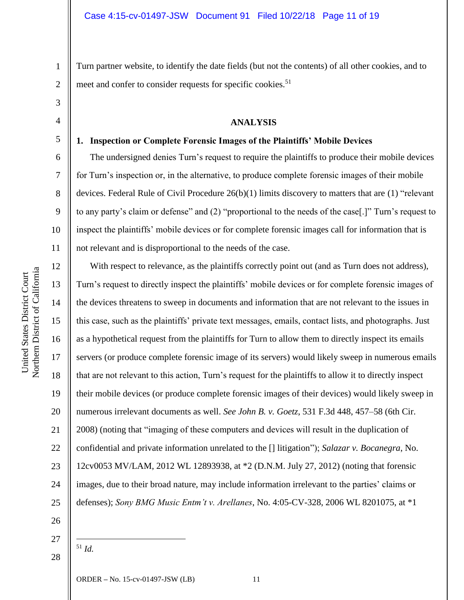Turn partner website, to identify the date fields (but not the contents) of all other cookies, and to meet and confer to consider requests for specific cookies.<sup>51</sup>

### **ANALYSIS**

#### **1. Inspection or Complete Forensic Images of the Plaintiffs' Mobile Devices**

The undersigned denies Turn's request to require the plaintiffs to produce their mobile devices for Turn's inspection or, in the alternative, to produce complete forensic images of their mobile devices. Federal Rule of Civil Procedure 26(b)(1) limits discovery to matters that are (1) "relevant to any party's claim or defense" and (2) "proportional to the needs of the case[.]" Turn's request to inspect the plaintiffs' mobile devices or for complete forensic images call for information that is not relevant and is disproportional to the needs of the case.

With respect to relevance, as the plaintiffs correctly point out (and as Turn does not address), Turn's request to directly inspect the plaintiffs' mobile devices or for complete forensic images of the devices threatens to sweep in documents and information that are not relevant to the issues in this case, such as the plaintiffs' private text messages, emails, contact lists, and photographs. Just as a hypothetical request from the plaintiffs for Turn to allow them to directly inspect its emails servers (or produce complete forensic image of its servers) would likely sweep in numerous emails that are not relevant to this action, Turn's request for the plaintiffs to allow it to directly inspect their mobile devices (or produce complete forensic images of their devices) would likely sweep in numerous irrelevant documents as well. *See John B. v. Goetz*, 531 F.3d 448, 457–58 (6th Cir. 2008) (noting that "imaging of these computers and devices will result in the duplication of confidential and private information unrelated to the [] litigation"); *Salazar v. Bocanegra*, No. 12cv0053 MV/LAM, 2012 WL 12893938, at \*2 (D.N.M. July 27, 2012) (noting that forensic images, due to their broad nature, may include information irrelevant to the parties' claims or defenses); *Sony BMG Music Entm't v. Arellanes*, No. 4:05-CV-328, 2006 WL 8201075, at \*1

- 26
- 27

 $\overline{a}$ <sup>51</sup> *Id.*

28

1

2

3

4

5

6

7

8

9

10

11

12

13

14

15

16

17

18

19

20

21

22

23

24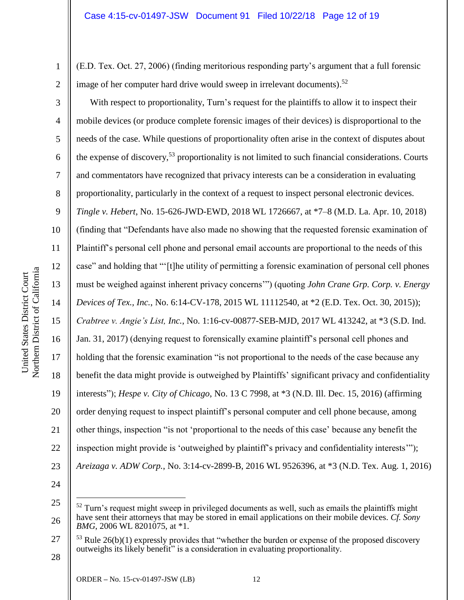(E.D. Tex. Oct. 27, 2006) (finding meritorious responding party's argument that a full forensic image of her computer hard drive would sweep in irrelevant documents).<sup>52</sup>

With respect to proportionality, Turn's request for the plaintiffs to allow it to inspect their mobile devices (or produce complete forensic images of their devices) is disproportional to the needs of the case. While questions of proportionality often arise in the context of disputes about the expense of discovery,<sup>53</sup> proportionality is not limited to such financial considerations. Courts and commentators have recognized that privacy interests can be a consideration in evaluating proportionality, particularly in the context of a request to inspect personal electronic devices. *Tingle v. Hebert*, No. 15-626-JWD-EWD, 2018 WL 1726667, at \*7–8 (M.D. La. Apr. 10, 2018) (finding that "Defendants have also made no showing that the requested forensic examination of Plaintiff's personal cell phone and personal email accounts are proportional to the needs of this case" and holding that "'[t]he utility of permitting a forensic examination of personal cell phones must be weighed against inherent privacy concerns'") (quoting *John Crane Grp. Corp. v. Energy Devices of Tex., Inc.*, No. 6:14-CV-178, 2015 WL 11112540, at \*2 (E.D. Tex. Oct. 30, 2015)); *Crabtree v. Angie's List, Inc.*, No. 1:16-cv-00877-SEB-MJD, 2017 WL 413242, at \*3 (S.D. Ind. Jan. 31, 2017) (denying request to forensically examine plaintiff's personal cell phones and holding that the forensic examination "is not proportional to the needs of the case because any benefit the data might provide is outweighed by Plaintiffs' significant privacy and confidentiality interests"); *Hespe v. City of Chicago*, No. 13 C 7998, at \*3 (N.D. Ill. Dec. 15, 2016) (affirming order denying request to inspect plaintiff's personal computer and cell phone because, among other things, inspection "is not 'proportional to the needs of this case' because any benefit the inspection might provide is 'outweighed by plaintiff's privacy and confidentiality interests'"); *Areizaga v. ADW Corp.*, No. 3:14-cv-2899-B, 2016 WL 9526396, at \*3 (N.D. Tex. Aug. 1, 2016)

24

 $\overline{a}$ 

28

1

2

3

4

5

6

7

8

9

10

11

12

13

14

15

16

17

18

19

20

21

22

<sup>25</sup> 26  $52$  Turn's request might sweep in privileged documents as well, such as emails the plaintiffs might have sent their attorneys that may be stored in email applications on their mobile devices. *Cf. Sony BMG*, 2006 WL 8201075, at \*1.

<sup>27</sup>  $53$  Rule 26(b)(1) expressly provides that "whether the burden or expense of the proposed discovery outweighs its likely benefit" is a consideration in evaluating proportionality.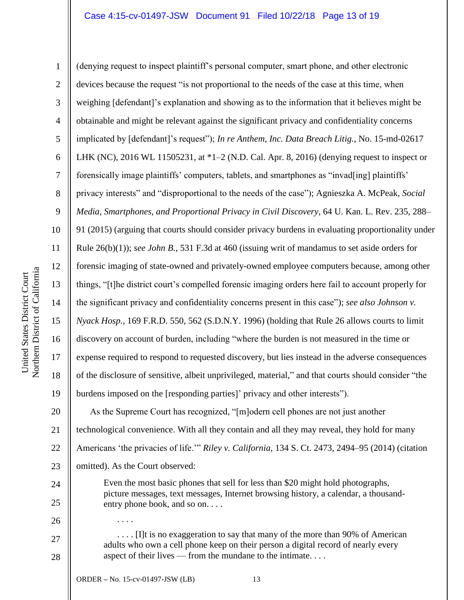## Case 4:15-cv-01497-JSW Document 91 Filed 10/22/18 Page 13 of 19

Northern District of California Northern District of California United States District Court United States District Court

1 2 3 4 5 6 7 8 9 10 11 12 13 14 15 16 17 18 19 20 21 22 23 24 25 26 27 28 (denying request to inspect plaintiff's personal computer, smart phone, and other electronic devices because the request "is not proportional to the needs of the case at this time, when weighing [defendant]'s explanation and showing as to the information that it believes might be obtainable and might be relevant against the significant privacy and confidentiality concerns implicated by [defendant]'s request"); *In re Anthem, Inc. Data Breach Litig.*, No. 15-md-02617 LHK (NC), 2016 WL 11505231, at \*1–2 (N.D. Cal. Apr. 8, 2016) (denying request to inspect or forensically image plaintiffs' computers, tablets, and smartphones as "invad[ing] plaintiffs' privacy interests" and "disproportional to the needs of the case"); Agnieszka A. McPeak, *Social Media, Smartphones, and Proportional Privacy in Civil Discovery*, 64 U. Kan. L. Rev. 235, 288– 91 (2015) (arguing that courts should consider privacy burdens in evaluating proportionality under Rule 26(b)(1)); *see John B.*, 531 F.3d at 460 (issuing writ of mandamus to set aside orders for forensic imaging of state-owned and privately-owned employee computers because, among other things, "[t]he district court's compelled forensic imaging orders here fail to account properly for the significant privacy and confidentiality concerns present in this case"); *see also Johnson v. Nyack Hosp.*, 169 F.R.D. 550, 562 (S.D.N.Y. 1996) (holding that Rule 26 allows courts to limit discovery on account of burden, including "where the burden is not measured in the time or expense required to respond to requested discovery, but lies instead in the adverse consequences of the disclosure of sensitive, albeit unprivileged, material," and that courts should consider "the burdens imposed on the [responding parties]' privacy and other interests"). As the Supreme Court has recognized, "[m]odern cell phones are not just another technological convenience. With all they contain and all they may reveal, they hold for many Americans 'the privacies of life.'" *Riley v. California*, 134 S. Ct. 2473, 2494–95 (2014) (citation omitted). As the Court observed: Even the most basic phones that sell for less than \$20 might hold photographs, picture messages, text messages, Internet browsing history, a calendar, a thousandentry phone book, and so on. . . . . . . . . . . . [I]t is no exaggeration to say that many of the more than 90% of American adults who own a cell phone keep on their person a digital record of nearly every aspect of their lives — from the mundane to the intimate. . . .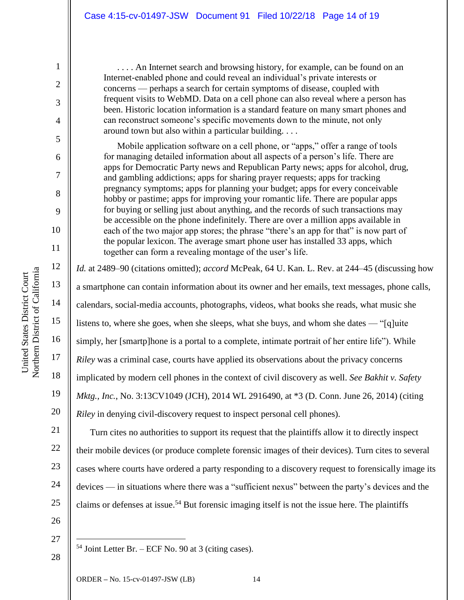. . . . An Internet search and browsing history, for example, can be found on an Internet-enabled phone and could reveal an individual's private interests or concerns — perhaps a search for certain symptoms of disease, coupled with frequent visits to WebMD. Data on a cell phone can also reveal where a person has been. Historic location information is a standard feature on many smart phones and can reconstruct someone's specific movements down to the minute, not only around town but also within a particular building. . . .

Mobile application software on a cell phone, or "apps," offer a range of tools for managing detailed information about all aspects of a person's life. There are apps for Democratic Party news and Republican Party news; apps for alcohol, drug, and gambling addictions; apps for sharing prayer requests; apps for tracking pregnancy symptoms; apps for planning your budget; apps for every conceivable hobby or pastime; apps for improving your romantic life. There are popular apps for buying or selling just about anything, and the records of such transactions may be accessible on the phone indefinitely. There are over a million apps available in each of the two major app stores; the phrase "there's an app for that" is now part of the popular lexicon. The average smart phone user has installed 33 apps, which together can form a revealing montage of the user's life.

*Id.* at 2489–90 (citations omitted); *accord* McPeak, 64 U. Kan. L. Rev. at 244–45 (discussing how a smartphone can contain information about its owner and her emails, text messages, phone calls, calendars, social-media accounts, photographs, videos, what books she reads, what music she listens to, where she goes, when she sleeps, what she buys, and whom she dates — "[q]uite simply, her [smartp]hone is a portal to a complete, intimate portrait of her entire life"). While *Riley* was a criminal case, courts have applied its observations about the privacy concerns implicated by modern cell phones in the context of civil discovery as well. *See Bakhit v. Safety Mktg., Inc.*, No. 3:13CV1049 (JCH), 2014 WL 2916490, at \*3 (D. Conn. June 26, 2014) (citing *Riley* in denying civil-discovery request to inspect personal cell phones).

21 22 23 24 25 Turn cites no authorities to support its request that the plaintiffs allow it to directly inspect their mobile devices (or produce complete forensic images of their devices). Turn cites to several cases where courts have ordered a party responding to a discovery request to forensically image its devices — in situations where there was a "sufficient nexus" between the party's devices and the claims or defenses at issue.<sup>54</sup> But forensic imaging itself is not the issue here. The plaintiffs

26

27

 $\overline{a}$ 

28

 $54$  Joint Letter Br. – ECF No. 90 at 3 (citing cases).

1

2

3

4

5

6

7

8

9

10

11

12

13

14

15

16

17

18

19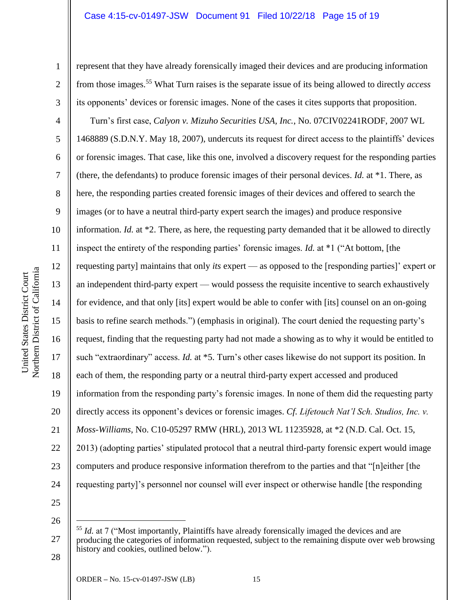### Case 4:15-cv-01497-JSW Document 91 Filed 10/22/18 Page 15 of 19

represent that they have already forensically imaged their devices and are producing information from those images. <sup>55</sup> What Turn raises is the separate issue of its being allowed to directly *access* its opponents' devices or forensic images. None of the cases it cites supports that proposition.

Turn's first case, *Calyon v. Mizuho Securities USA, Inc.*, No. 07CIV02241RODF, 2007 WL 1468889 (S.D.N.Y. May 18, 2007), undercuts its request for direct access to the plaintiffs' devices or forensic images. That case, like this one, involved a discovery request for the responding parties (there, the defendants) to produce forensic images of their personal devices. *Id.* at \*1. There, as here, the responding parties created forensic images of their devices and offered to search the images (or to have a neutral third-party expert search the images) and produce responsive information. *Id.* at \*2. There, as here, the requesting party demanded that it be allowed to directly inspect the entirety of the responding parties' forensic images. *Id.* at \*1 ("At bottom, [the requesting party] maintains that only *its* expert — as opposed to the [responding parties]' expert or an independent third-party expert — would possess the requisite incentive to search exhaustively for evidence, and that only [its] expert would be able to confer with [its] counsel on an on-going basis to refine search methods.") (emphasis in original). The court denied the requesting party's request, finding that the requesting party had not made a showing as to why it would be entitled to such "extraordinary" access. *Id.* at \*5. Turn's other cases likewise do not support its position. In each of them, the responding party or a neutral third-party expert accessed and produced information from the responding party's forensic images. In none of them did the requesting party directly access its opponent's devices or forensic images. *Cf. Lifetouch Nat'l Sch. Studios, Inc. v. Moss-Williams*, No. C10-05297 RMW (HRL), 2013 WL 11235928, at \*2 (N.D. Cal. Oct. 15, 2013) (adopting parties' stipulated protocol that a neutral third-party forensic expert would image computers and produce responsive information therefrom to the parties and that "[n]either [the requesting party]'s personnel nor counsel will ever inspect or otherwise handle [the responding

26

 $\overline{a}$ 

27

25

1

2

3

4

5

6

7

8

9

10

11

12

13

14

15

United States District Court Northern District of California

Northern District of California United States District Court

16

17

18

19

20

21

22

23

24

<sup>&</sup>lt;sup>55</sup> *Id.* at 7 ("Most importantly, Plaintiffs have already forensically imaged the devices and are producing the categories of information requested, subject to the remaining dispute over web browsing history and cookies, outlined below.").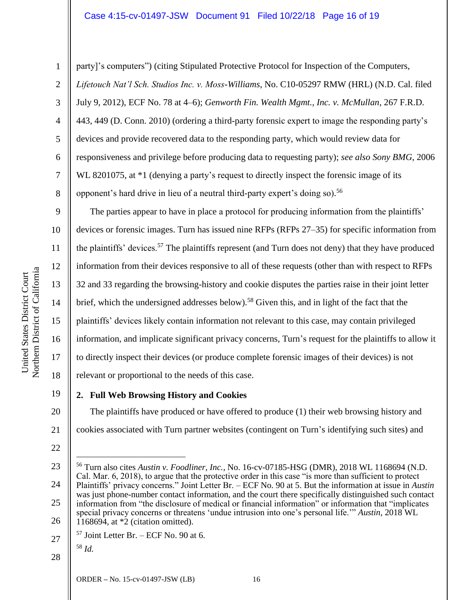## Case 4:15-cv-01497-JSW Document 91 Filed 10/22/18 Page 16 of 19

1

2

3

4

5

6

7

8

9

10

11

12

13

14

15

16

17

18

20

21

party]'s computers") (citing Stipulated Protective Protocol for Inspection of the Computers, *Lifetouch Nat'l Sch. Studios Inc. v. Moss-Williams*, No. C10-05297 RMW (HRL) (N.D. Cal. filed July 9, 2012), ECF No. 78 at 4–6); *Genworth Fin. Wealth Mgmt., Inc. v. McMullan*, 267 F.R.D. 443, 449 (D. Conn. 2010) (ordering a third-party forensic expert to image the responding party's devices and provide recovered data to the responding party, which would review data for responsiveness and privilege before producing data to requesting party); *see also Sony BMG*, 2006 WL 8201075, at  $*1$  (denying a party's request to directly inspect the forensic image of its opponent's hard drive in lieu of a neutral third-party expert's doing so). 56

The parties appear to have in place a protocol for producing information from the plaintiffs' devices or forensic images. Turn has issued nine RFPs (RFPs 27–35) for specific information from the plaintiffs' devices.<sup>57</sup> The plaintiffs represent (and Turn does not deny) that they have produced information from their devices responsive to all of these requests (other than with respect to RFPs 32 and 33 regarding the browsing-history and cookie disputes the parties raise in their joint letter brief, which the undersigned addresses below).<sup>58</sup> Given this, and in light of the fact that the plaintiffs' devices likely contain information not relevant to this case, may contain privileged information, and implicate significant privacy concerns, Turn's request for the plaintiffs to allow it to directly inspect their devices (or produce complete forensic images of their devices) is not relevant or proportional to the needs of this case.

19 **2. Full Web Browsing History and Cookies**

The plaintiffs have produced or have offered to produce (1) their web browsing history and cookies associated with Turn partner websites (contingent on Turn's identifying such sites) and

22

 $\overline{a}$ 

23

$$
\begin{array}{|c|c|} \hline & 58 \end{array} Id.
$$

28

<sup>24</sup> 25 26 <sup>56</sup> Turn also cites *Austin v. Foodliner, Inc.*, No. 16-cv-07185-HSG (DMR), 2018 WL 1168694 (N.D. Cal. Mar. 6, 2018), to argue that the protective order in this case "is more than sufficient to protect Plaintiffs' privacy concerns." Joint Letter Br. – ECF No. 90 at 5. But the information at issue in *Austin* was just phone-number contact information, and the court there specifically distinguished such contact information from "the disclosure of medical or financial information" or information that "implicates special privacy concerns or threatens 'undue intrusion into one's personal life.'" *Austin*, 2018 WL  $1168694$ , at  $*2$  (citation omitted).

 $57$  Joint Letter Br. – ECF No. 90 at 6.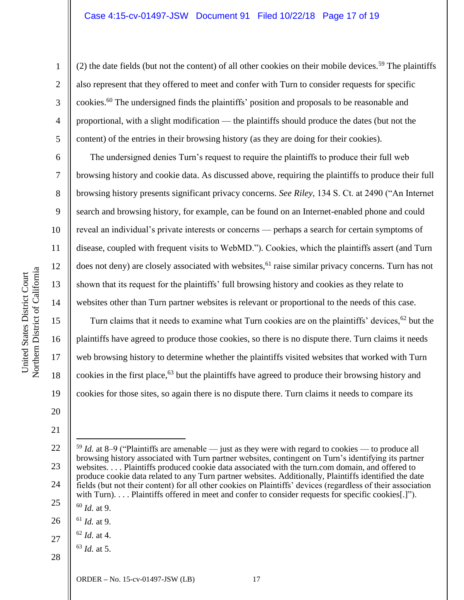#### Case 4:15-cv-01497-JSW Document 91 Filed 10/22/18 Page 17 of 19

(2) the date fields (but not the content) of all other cookies on their mobile devices.<sup>59</sup> The plaintiffs also represent that they offered to meet and confer with Turn to consider requests for specific cookies.<sup>60</sup> The undersigned finds the plaintiffs' position and proposals to be reasonable and proportional, with a slight modification — the plaintiffs should produce the dates (but not the content) of the entries in their browsing history (as they are doing for their cookies).

The undersigned denies Turn's request to require the plaintiffs to produce their full web browsing history and cookie data. As discussed above, requiring the plaintiffs to produce their full browsing history presents significant privacy concerns. *See Riley*, 134 S. Ct. at 2490 ("An Internet search and browsing history, for example, can be found on an Internet-enabled phone and could reveal an individual's private interests or concerns — perhaps a search for certain symptoms of disease, coupled with frequent visits to WebMD."). Cookies, which the plaintiffs assert (and Turn does not deny) are closely associated with websites,<sup>61</sup> raise similar privacy concerns. Turn has not shown that its request for the plaintiffs' full browsing history and cookies as they relate to websites other than Turn partner websites is relevant or proportional to the needs of this case.

Turn claims that it needs to examine what Turn cookies are on the plaintiffs' devices,<sup>62</sup> but the plaintiffs have agreed to produce those cookies, so there is no dispute there. Turn claims it needs web browsing history to determine whether the plaintiffs visited websites that worked with Turn cookies in the first place, <sup>63</sup> but the plaintiffs have agreed to produce their browsing history and cookies for those sites, so again there is no dispute there. Turn claims it needs to compare its

20 21

1

2

3

4

5

6

7

8

9

10

11

12

13

14

15

- 22 23 24 25 <sup>59</sup> *Id.* at 8–9 ("Plaintiffs are amenable — just as they were with regard to cookies — to produce all browsing history associated with Turn partner websites, contingent on Turn's identifying its partner websites. . . . Plaintiffs produced cookie data associated with the turn.com domain, and offered to produce cookie data related to any Turn partner websites. Additionally, Plaintiffs identified the date fields (but not their content) for all other cookies on Plaintiffs' devices (regardless of their association with Turn). . . . Plaintiffs offered in meet and confer to consider requests for specific cookies[.]"). <sup>60</sup> *Id.* at 9.
- 26 <sup>61</sup> *Id.* at 9.

 $\overline{a}$ 

- $62$  *Id.* at 4.
- <sup>63</sup> *Id.* at 5.

28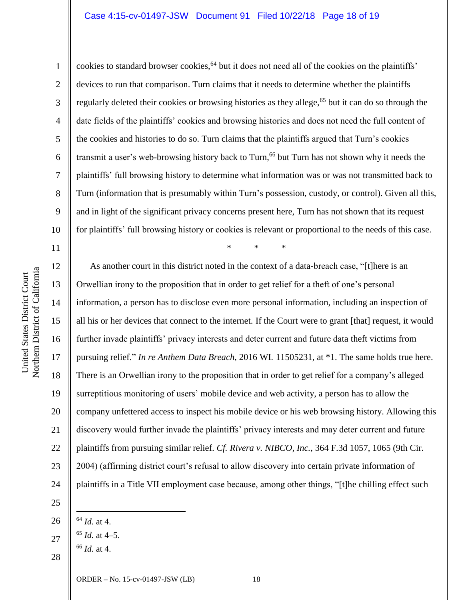## Case 4:15-cv-01497-JSW Document 91 Filed 10/22/18 Page 18 of 19

Northern District of California Northern District of California United States District Court United States District Court

1

2

3

4

5

6

7

8

9

10

11

12

13

14

15

16

17

18

19

20

21

22

23

24

25

27

cookies to standard browser cookies,<sup>64</sup> but it does not need all of the cookies on the plaintiffs' devices to run that comparison. Turn claims that it needs to determine whether the plaintiffs regularly deleted their cookies or browsing histories as they allege,<sup>65</sup> but it can do so through the date fields of the plaintiffs' cookies and browsing histories and does not need the full content of the cookies and histories to do so. Turn claims that the plaintiffs argued that Turn's cookies transmit a user's web-browsing history back to Turn,<sup>66</sup> but Turn has not shown why it needs the plaintiffs' full browsing history to determine what information was or was not transmitted back to Turn (information that is presumably within Turn's possession, custody, or control). Given all this, and in light of the significant privacy concerns present here, Turn has not shown that its request for plaintiffs' full browsing history or cookies is relevant or proportional to the needs of this case.

\* \* \*

As another court in this district noted in the context of a data-breach case, "[t]here is an Orwellian irony to the proposition that in order to get relief for a theft of one's personal information, a person has to disclose even more personal information, including an inspection of all his or her devices that connect to the internet. If the Court were to grant [that] request, it would further invade plaintiffs' privacy interests and deter current and future data theft victims from pursuing relief." *In re Anthem Data Breach*, 2016 WL 11505231, at \*1. The same holds true here. There is an Orwellian irony to the proposition that in order to get relief for a company's alleged surreptitious monitoring of users' mobile device and web activity, a person has to allow the company unfettered access to inspect his mobile device or his web browsing history. Allowing this discovery would further invade the plaintiffs' privacy interests and may deter current and future plaintiffs from pursuing similar relief. *Cf. Rivera v. NIBCO, Inc.*, 364 F.3d 1057, 1065 (9th Cir. 2004) (affirming district court's refusal to allow discovery into certain private information of plaintiffs in a Title VII employment case because, among other things, "[t]he chilling effect such

28 <sup>66</sup> *Id.* at 4.

<sup>26</sup>  $\overline{a}$ <sup>64</sup> *Id.* at 4.

 $^{65}$  *Id.* at 4–5.